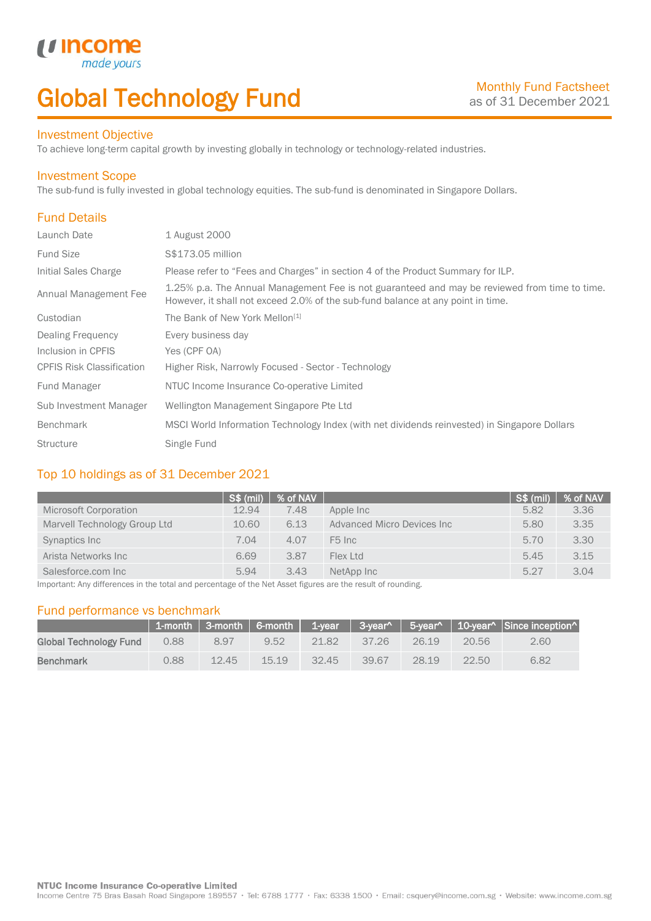# Global Technology Fund

### Investment Objective

made

To achieve long-term capital growth by investing globally in technology or technology-related industries.

#### Investment Scope

u Incom

The sub-fund is fully invested in global technology equities. The sub-fund is denominated in Singapore Dollars.

## Fund Details

I

| Launch Date                      | 1 August 2000                                                                                                                                                                    |
|----------------------------------|----------------------------------------------------------------------------------------------------------------------------------------------------------------------------------|
| <b>Fund Size</b>                 | S\$173.05 million                                                                                                                                                                |
| Initial Sales Charge             | Please refer to "Fees and Charges" in section 4 of the Product Summary for ILP.                                                                                                  |
| Annual Management Fee            | 1.25% p.a. The Annual Management Fee is not guaranteed and may be reviewed from time to time.<br>However, it shall not exceed 2.0% of the sub-fund balance at any point in time. |
| Custodian                        | The Bank of New York Mellon <sup>[1]</sup>                                                                                                                                       |
| Dealing Frequency                | Every business day                                                                                                                                                               |
| Inclusion in CPFIS               | Yes (CPF OA)                                                                                                                                                                     |
| <b>CPFIS Risk Classification</b> | Higher Risk, Narrowly Focused - Sector - Technology                                                                                                                              |
| <b>Fund Manager</b>              | NTUC Income Insurance Co-operative Limited                                                                                                                                       |
| Sub Investment Manager           | Wellington Management Singapore Pte Ltd                                                                                                                                          |
| <b>Benchmark</b>                 | MSCI World Information Technology Index (with net dividends reinvested) in Singapore Dollars                                                                                     |
| <b>Structure</b>                 | Single Fund                                                                                                                                                                      |

### Top 10 holdings as of 31 December 2021

|                              | <b>S\$ (mil)</b> | % of NAV |                            | <b>S\$ (mil)</b> | % of NAV |
|------------------------------|------------------|----------|----------------------------|------------------|----------|
| Microsoft Corporation        | 12.94            | 7.48     | Apple Inc                  | 5.82             | 3.36     |
| Marvell Technology Group Ltd | 10.60            | 6.13     | Advanced Micro Devices Inc | 5.80             | 3.35     |
| Synaptics Inc                | 7.04             | 4.07     | F <sub>5</sub> Inc         | 5.70             | 3.30     |
| Arista Networks Inc          | 6.69             | 3.87     | Flex Ltd                   | 5.45             | 3.15     |
| Salesforce.com Inc           | 5.94             | 3.43     | NetApp Inc                 | 5.27             | 3.04     |

Important: Any differences in the total and percentage of the Net Asset figures are the result of rounding.

### Fund performance vs benchmark

|                        |      |       |       |       |       |       |       | 1-month   3-month   6-month   1-year   3-year^   5-year^   10-year^   Since inception^ |
|------------------------|------|-------|-------|-------|-------|-------|-------|----------------------------------------------------------------------------------------|
| Global Technology Fund | 0.88 | 8.97  | 9.52  | 21.82 | 37.26 | 26.19 | 20.56 | 2.60                                                                                   |
| <b>Benchmark</b>       | 0.88 | 12.45 | 15.19 | 32.45 | 39.67 | 28.19 | 22.50 | 6.82                                                                                   |

Income Centre 75 Bras Basah Road Singapore 189557 · Tel: 6788 1777 · Fax: 6338 1500 · Email: csquery@income.com.sg · Website: www.income.com.sg